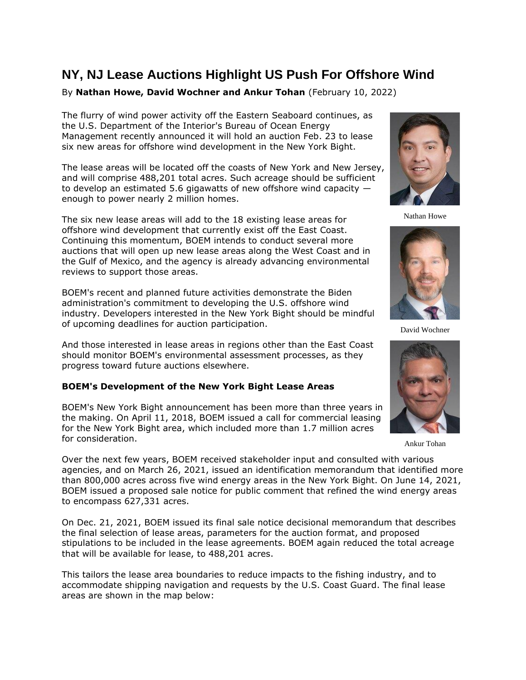# **NY, NJ Lease Auctions Highlight US Push For Offshore Wind**

## By **Nathan Howe, David Wochner and Ankur Tohan** (February 10, 2022)

The flurry of wind power activity off the Eastern Seaboard continues, as the [U.S. Department of the Interior'](https://www.law360.com/agencies/u-s-department-of-the-interior)s [Bureau of Ocean Energy](https://www.law360.com/agencies/bureau-of-ocean-energy-management)  [Management](https://www.law360.com/agencies/bureau-of-ocean-energy-management) recently announced it will hold an auction Feb. 23 to lease six new areas for offshore wind development in the New York Bight.

The lease areas will be located off the coasts of New York and New Jersey, and will comprise 488,201 total acres. Such acreage should be sufficient to develop an estimated 5.6 gigawatts of new offshore wind capacity enough to power nearly 2 million homes.

The six new lease areas will add to the 18 existing lease areas for offshore wind development that currently exist off the East Coast. Continuing this momentum, BOEM intends to conduct several more auctions that will open up new lease areas along the West Coast and in the Gulf of Mexico, and the agency is already advancing environmental reviews to support those areas.

BOEM's recent and planned future activities demonstrate the Biden administration's commitment to developing the U.S. offshore wind industry. Developers interested in the New York Bight should be mindful of upcoming deadlines for auction participation.

And those interested in lease areas in regions other than the East Coast should monitor BOEM's environmental assessment processes, as they progress toward future auctions elsewhere.

#### **BOEM's Development of the New York Bight Lease Areas**

BOEM's New York Bight announcement has been more than three years in the making. On April 11, 2018, BOEM issued a call for commercial leasing for the New York Bight area, which included more than 1.7 million acres for consideration.



Nathan Howe



David Wochner



Ankur Tohan

Over the next few years, BOEM received stakeholder input and consulted with various agencies, and on March 26, 2021, issued an identification memorandum that identified more than 800,000 acres across five wind energy areas in the New York Bight. On June 14, 2021, BOEM issued a proposed sale notice for public comment that refined the wind energy areas to encompass 627,331 acres.

On Dec. 21, 2021, BOEM issued its final sale notice decisional memorandum that describes the final selection of lease areas, parameters for the auction format, and proposed stipulations to be included in the lease agreements. BOEM again reduced the total acreage that will be available for lease, to 488,201 acres.

This tailors the lease area boundaries to reduce impacts to the fishing industry, and to accommodate shipping navigation and requests by the [U.S. Coast Guard.](https://www.law360.com/agencies/u-s-coast-guard) The final lease areas are shown in the map below: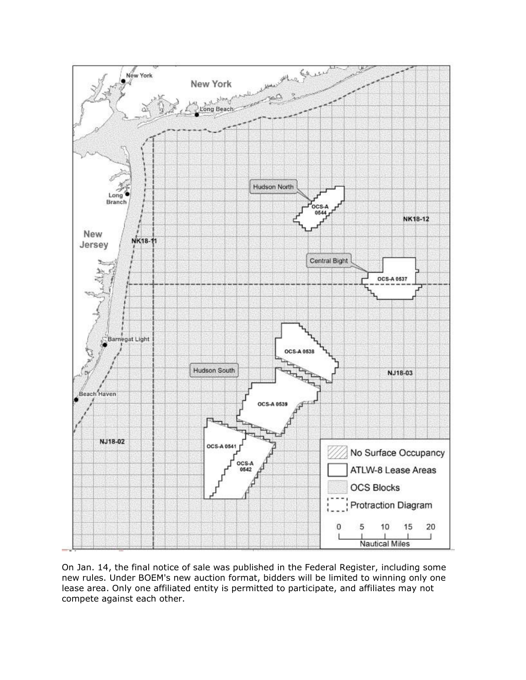

On Jan. 14, the final notice of sale was published in the Federal Register, including some new rules. Under BOEM's new auction format, bidders will be limited to winning only one lease area. Only one affiliated entity is permitted to participate, and affiliates may not compete against each other.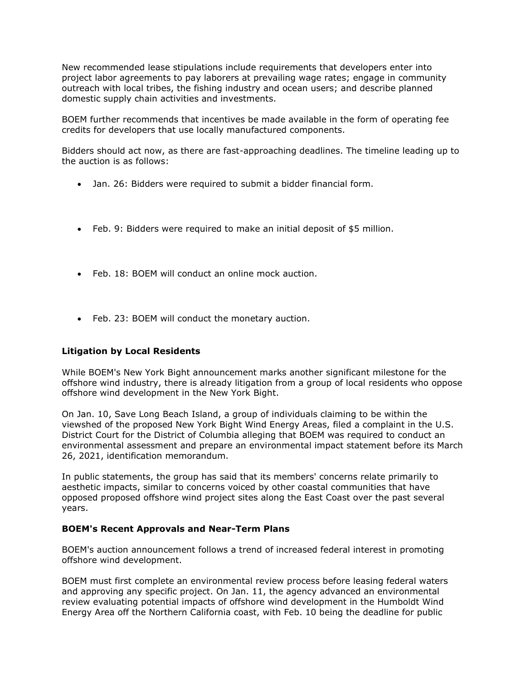New recommended lease stipulations include requirements that developers enter into project labor agreements to pay laborers at prevailing wage rates; engage in community outreach with local tribes, the fishing industry and ocean users; and describe planned domestic supply chain activities and investments.

BOEM further recommends that incentives be made available in the form of operating fee credits for developers that use locally manufactured components.

Bidders should act now, as there are fast-approaching deadlines. The timeline leading up to the auction is as follows:

- Jan. 26: Bidders were required to submit a bidder financial form.
- Feb. 9: Bidders were required to make an initial deposit of \$5 million.
- Feb. 18: BOEM will conduct an online mock auction.
- Feb. 23: BOEM will conduct the monetary auction.

#### **Litigation by Local Residents**

While BOEM's New York Bight announcement marks another significant milestone for the offshore wind industry, there is already litigation from a group of local residents who oppose offshore wind development in the New York Bight.

On Jan. 10, Save Long Beach Island, a group of individuals claiming to be within the viewshed of the proposed New York Bight Wind Energy Areas, filed a complaint in the [U.S.](https://www.law360.com/agencies/u-s-district-court-for-the-district-of-columbia)  [District Court for the District of Columbia](https://www.law360.com/agencies/u-s-district-court-for-the-district-of-columbia) alleging that BOEM was required to conduct an environmental assessment and prepare an environmental impact statement before its March 26, 2021, identification memorandum.

In public statements, the group has said that its members' concerns relate primarily to aesthetic impacts, similar to concerns voiced by other coastal communities that have opposed proposed offshore wind project sites along the East Coast over the past several years.

#### **BOEM's Recent Approvals and Near-Term Plans**

BOEM's auction announcement follows a trend of increased federal interest in promoting offshore wind development.

BOEM must first complete an environmental review process before leasing federal waters and approving any specific project. On Jan. 11, the agency advanced an environmental review evaluating potential impacts of offshore wind development in the Humboldt Wind Energy Area off the Northern California coast, with Feb. 10 being the deadline for public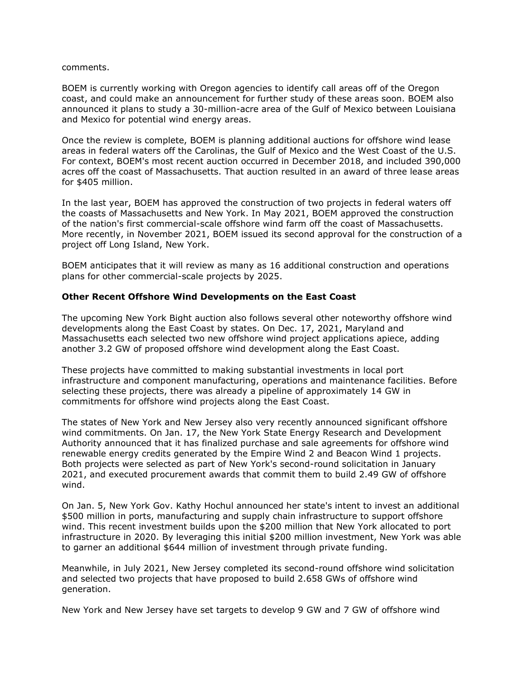#### comments.

BOEM is currently working with Oregon agencies to identify call areas off of the Oregon coast, and could make an announcement for further study of these areas soon. BOEM also announced it plans to study a 30-million-acre area of the Gulf of Mexico between Louisiana and Mexico for potential wind energy areas.

Once the review is complete, BOEM is planning additional auctions for offshore wind lease areas in federal waters off the Carolinas, the Gulf of Mexico and the West Coast of the U.S. For context, BOEM's most recent auction occurred in December 2018, and included 390,000 acres off the coast of Massachusetts. That auction resulted in an award of three lease areas for \$405 million.

In the last year, BOEM has approved the construction of two projects in federal waters off the coasts of Massachusetts and New York. In May 2021, BOEM approved the construction of the nation's first commercial-scale offshore wind farm off the coast of Massachusetts. More recently, in November 2021, BOEM issued its second approval for the construction of a project off Long Island, New York.

BOEM anticipates that it will review as many as 16 additional construction and operations plans for other commercial-scale projects by 2025.

#### **Other Recent Offshore Wind Developments on the East Coast**

The upcoming New York Bight auction also follows several other noteworthy offshore wind developments along the East Coast by states. On Dec. 17, 2021, Maryland and Massachusetts each selected two new offshore wind project applications apiece, adding another 3.2 GW of proposed offshore wind development along the East Coast.

These projects have committed to making substantial investments in local port infrastructure and component manufacturing, operations and maintenance facilities. Before selecting these projects, there was already a pipeline of approximately 14 GW in commitments for offshore wind projects along the East Coast.

The states of New York and New Jersey also very recently announced significant offshore wind commitments. On Jan. 17, the New York State Energy Research and Development Authority announced that it has finalized purchase and sale agreements for offshore wind renewable energy credits generated by the Empire Wind 2 and Beacon Wind 1 projects. Both projects were selected as part of New York's second-round solicitation in January 2021, and executed procurement awards that commit them to build 2.49 GW of offshore wind.

On Jan. 5, New York Gov. Kathy Hochul announced her state's intent to invest an additional \$500 million in ports, manufacturing and supply chain infrastructure to support offshore wind. This recent investment builds upon the \$200 million that New York allocated to port infrastructure in 2020. By leveraging this initial \$200 million investment, New York was able to garner an additional \$644 million of investment through private funding.

Meanwhile, in July 2021, New Jersey completed its second-round offshore wind solicitation and selected two projects that have proposed to build 2.658 GWs of offshore wind generation.

New York and New Jersey have set targets to develop 9 GW and 7 GW of offshore wind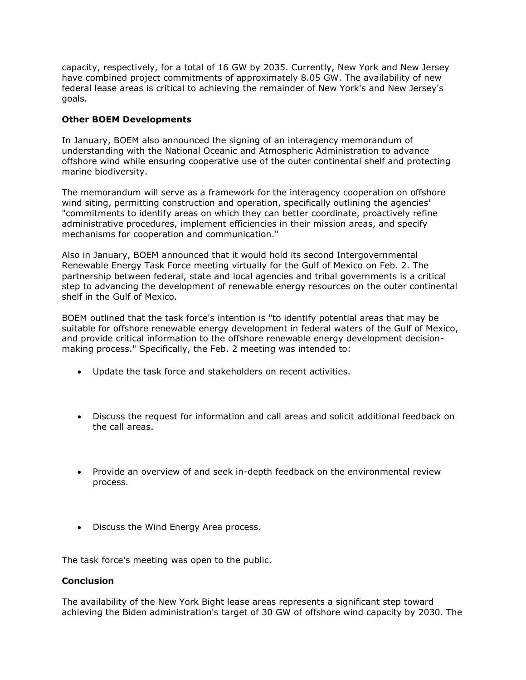capacity, respectively, for a total of 16 GW by 2035. Currently, New York and New Jersey have combined project commitments of approximately 8.05 GW. The availability of new federal lease areas is critical to achieving the remainder of New York's and New Jersey's goals.

### **Other BOEM Developments**

In January, BOEM also announced the signing of an interagency memorandum of understanding with the [National Oceanic and Atmospheric Administration](https://www.law360.com/agencies/national-oceanic-and-atmospheric-administration) to advance offshore wind while ensuring cooperative use of the outer continental shelf and protecting marine biodiversity.

The memorandum will serve as a framework for the interagency cooperation on offshore wind siting, permitting construction and operation, specifically outlining the agencies' "commitments to identify areas on which they can better coordinate, proactively refine administrative procedures, implement efficiencies in their mission areas, and specify mechanisms for cooperation and communication."

Also in January, BOEM announced that it would hold its second Intergovernmental Renewable Energy Task Force meeting virtually for the Gulf of Mexico on Feb. 2. The partnership between federal, state and local agencies and tribal governments is a critical step to advancing the development of renewable energy resources on the outer continental shelf in the Gulf of Mexico.

BOEM outlined that the task force's intention is "to identify potential areas that may be suitable for offshore renewable energy development in federal waters of the Gulf of Mexico, and provide critical information to the offshore renewable energy development decisionmaking process." Specifically, the Feb. 2 meeting was intended to:

- Update the task force and stakeholders on recent activities.
- Discuss the request for information and call areas and solicit additional feedback on the call areas.
- Provide an overview of and seek in-depth feedback on the environmental review process.
- Discuss the Wind Energy Area process.

The task force's meeting was open to the public.

### **Conclusion**

The availability of the New York Bight lease areas represents a significant step toward achieving the Biden administration's target of 30 GW of offshore wind capacity by 2030. The